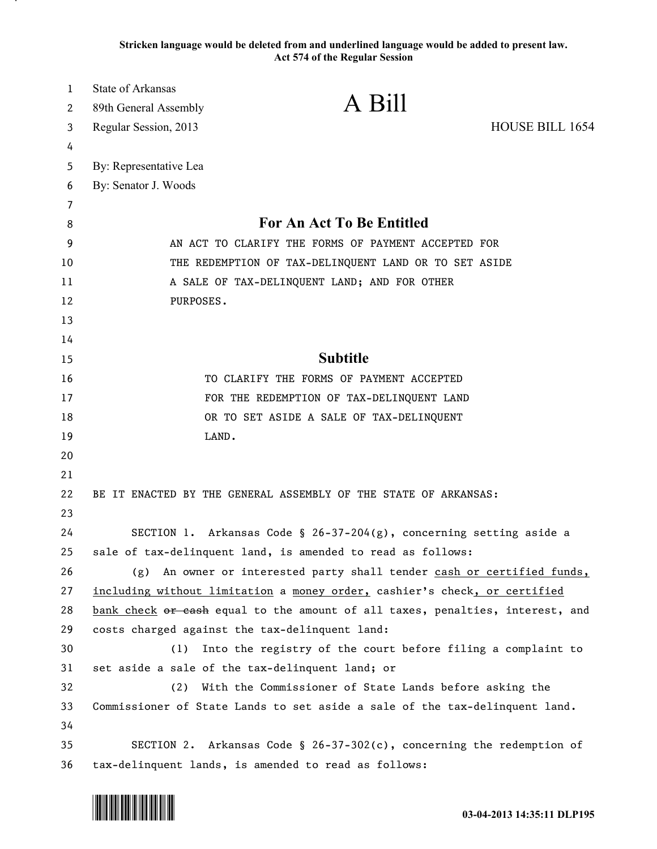**Stricken language would be deleted from and underlined language would be added to present law. Act 574 of the Regular Session**

| $\mathbf{1}$ | <b>State of Arkansas</b>                                                                                                              | A Bill                                                                        |                 |
|--------------|---------------------------------------------------------------------------------------------------------------------------------------|-------------------------------------------------------------------------------|-----------------|
| 2            | 89th General Assembly                                                                                                                 |                                                                               |                 |
| 3            | Regular Session, 2013                                                                                                                 |                                                                               | HOUSE BILL 1654 |
| 4            |                                                                                                                                       |                                                                               |                 |
| 5            | By: Representative Lea                                                                                                                |                                                                               |                 |
| 6            | By: Senator J. Woods                                                                                                                  |                                                                               |                 |
| 7            |                                                                                                                                       |                                                                               |                 |
| 8            | For An Act To Be Entitled                                                                                                             |                                                                               |                 |
| 9            | AN ACT TO CLARIFY THE FORMS OF PAYMENT ACCEPTED FOR                                                                                   |                                                                               |                 |
| 10           | THE REDEMPTION OF TAX-DELINQUENT LAND OR TO SET ASIDE                                                                                 |                                                                               |                 |
| 11           | A SALE OF TAX-DELINQUENT LAND; AND FOR OTHER                                                                                          |                                                                               |                 |
| 12           | PURPOSES.                                                                                                                             |                                                                               |                 |
| 13           |                                                                                                                                       |                                                                               |                 |
| 14           |                                                                                                                                       | <b>Subtitle</b>                                                               |                 |
| 15           |                                                                                                                                       |                                                                               |                 |
| 16           |                                                                                                                                       | TO CLARIFY THE FORMS OF PAYMENT ACCEPTED                                      |                 |
| 17           |                                                                                                                                       | FOR THE REDEMPTION OF TAX-DELINQUENT LAND                                     |                 |
| 18           |                                                                                                                                       | OR TO SET ASIDE A SALE OF TAX-DELINQUENT                                      |                 |
| 19           | LAND.                                                                                                                                 |                                                                               |                 |
| 20           |                                                                                                                                       |                                                                               |                 |
| 21           |                                                                                                                                       |                                                                               |                 |
| 22           |                                                                                                                                       | BE IT ENACTED BY THE GENERAL ASSEMBLY OF THE STATE OF ARKANSAS:               |                 |
| 23           |                                                                                                                                       |                                                                               |                 |
| 24<br>25     |                                                                                                                                       | SECTION 1. Arkansas Code § 26-37-204(g), concerning setting aside a           |                 |
| 26           |                                                                                                                                       | sale of tax-delinquent land, is amended to read as follows:                   |                 |
| 27           |                                                                                                                                       | (g) An owner or interested party shall tender cash or certified funds,        |                 |
| 28           |                                                                                                                                       | including without limitation a money order, cashier's check, or certified     |                 |
| 29           | costs charged against the tax-delinquent land:                                                                                        | bank check or eash equal to the amount of all taxes, penalties, interest, and |                 |
| 30           | (1)                                                                                                                                   | Into the registry of the court before filing a complaint to                   |                 |
| 31           | set aside a sale of the tax-delinquent land; or                                                                                       |                                                                               |                 |
| 32           | (2)                                                                                                                                   |                                                                               |                 |
| 33           | With the Commissioner of State Lands before asking the<br>Commissioner of State Lands to set aside a sale of the tax-delinquent land. |                                                                               |                 |
| 34           |                                                                                                                                       |                                                                               |                 |
| 35           |                                                                                                                                       | SECTION 2. Arkansas Code § 26-37-302(c), concerning the redemption of         |                 |
| 36           |                                                                                                                                       | tax-delinquent lands, is amended to read as follows:                          |                 |